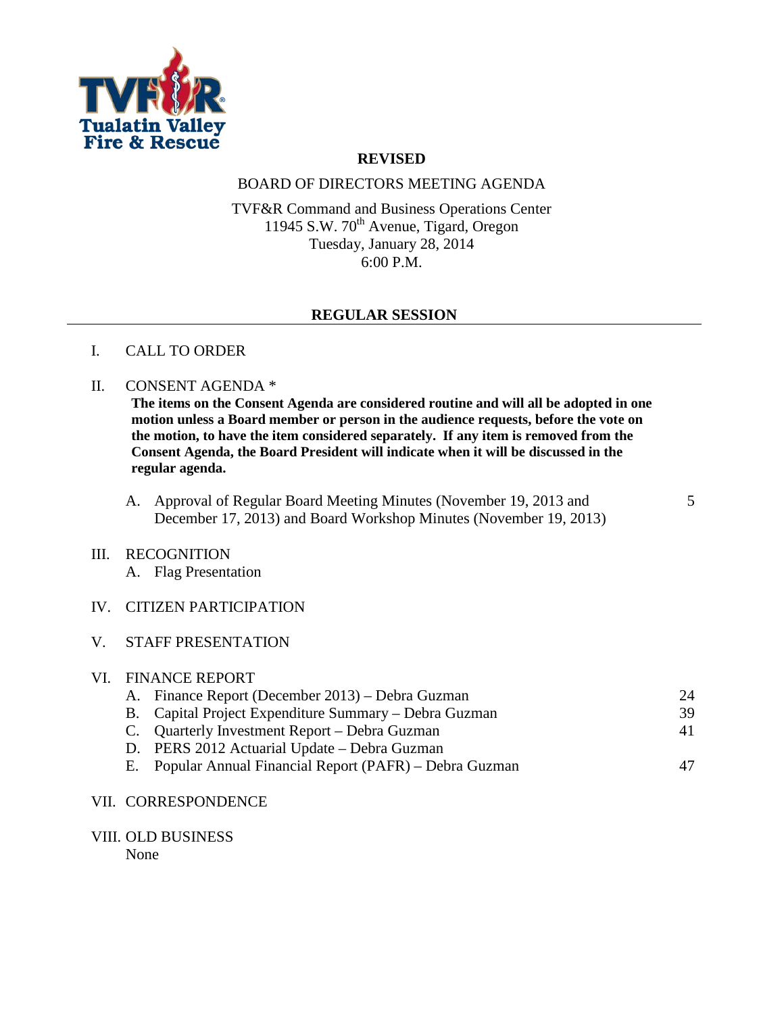

## **REVISED**

# BOARD OF DIRECTORS MEETING AGENDA

TVF&R Command and Business Operations Center 11945 S.W.  $70^{\text{th}}$  Avenue, Tigard, Oregon Tuesday, January 28, 2014 6:00 P.M.

### **REGULAR SESSION**

#### I. CALL TO ORDER

#### II. CONSENT AGENDA \*

**The items on the Consent Agenda are considered routine and will all be adopted in one motion unless a Board member or person in the audience requests, before the vote on the motion, to have the item considered separately. If any item is removed from the Consent Agenda, the Board President will indicate when it will be discussed in the regular agenda.**

A. Approval of Regular Board Meeting Minutes (November 19, 2013 and December 17, 2013) and Board Workshop Minutes (November 19, 2013) 5

#### III. RECOGNITION

A. Flag Presentation

# IV. CITIZEN PARTICIPATION

### V. STAFF PRESENTATION

| VI. FINANCE REPORT |                                                          |    |  |
|--------------------|----------------------------------------------------------|----|--|
|                    | A. Finance Report (December 2013) – Debra Guzman         | 24 |  |
|                    | B. Capital Project Expenditure Summary – Debra Guzman    | 39 |  |
|                    | C. Quarterly Investment Report – Debra Guzman            | 41 |  |
|                    | D. PERS 2012 Actuarial Update – Debra Guzman             |    |  |
|                    | E. Popular Annual Financial Report (PAFR) – Debra Guzman | 47 |  |
|                    |                                                          |    |  |

#### VII. CORRESPONDENCE

VIII. OLD BUSINESS

None